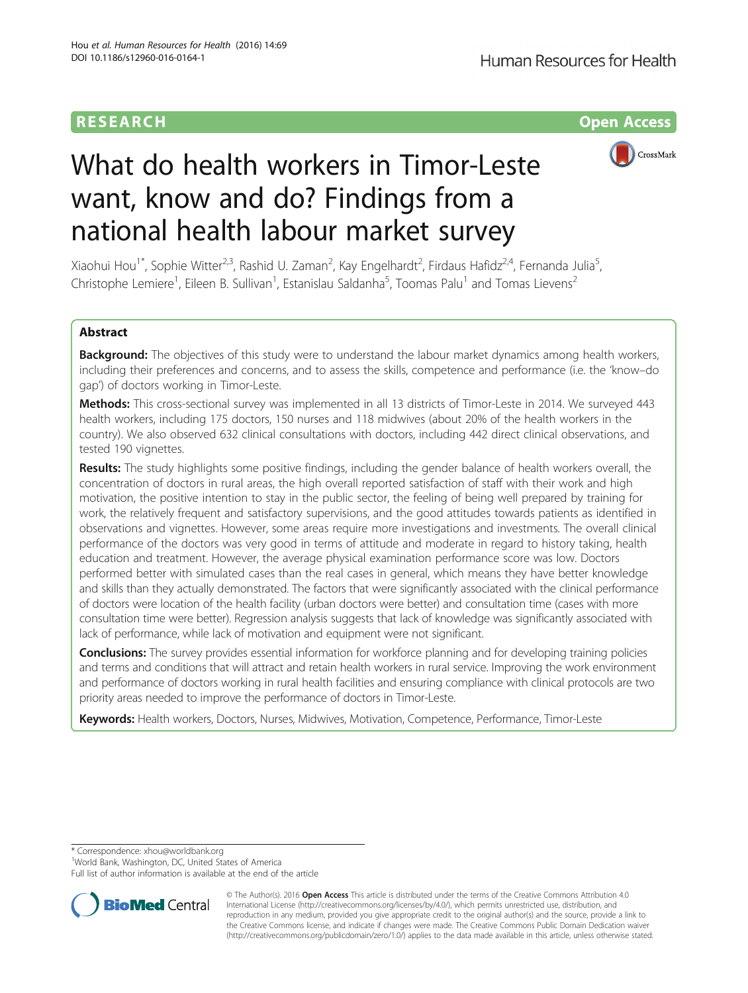# **RESEARCH CHILD CONTROL** CONTROL CONTROL CONTROL CONTROL CONTROL CONTROL CONTROL CONTROL CONTROL CONTROL CONTROL CONTROL CONTROL CONTROL CONTROL CONTROL CONTROL CONTROL CONTROL CONTROL CONTROL CONTROL CONTROL CONTROL CONTR

Human Resources for Health



# What do health workers in Timor-Leste want, know and do? Findings from a national health labour market survey

Xiaohui Hou<sup>1\*</sup>, Sophie Witter<sup>2,3</sup>, Rashid U. Zaman<sup>2</sup>, Kay Engelhardt<sup>2</sup>, Firdaus Hafidz<sup>2,4</sup>, Fernanda Julia<sup>5</sup> , Christophe Lemiere<sup>1</sup>, Eileen B. Sullivan<sup>1</sup>, Estanislau Saldanha<sup>5</sup>, Toomas Palu<sup>1</sup> and Tomas Lievens<sup>2</sup>

# Abstract

Background: The objectives of this study were to understand the labour market dynamics among health workers, including their preferences and concerns, and to assess the skills, competence and performance (i.e. the 'know–do gap') of doctors working in Timor-Leste.

Methods: This cross-sectional survey was implemented in all 13 districts of Timor-Leste in 2014. We surveyed 443 health workers, including 175 doctors, 150 nurses and 118 midwives (about 20% of the health workers in the country). We also observed 632 clinical consultations with doctors, including 442 direct clinical observations, and tested 190 vignettes.

Results: The study highlights some positive findings, including the gender balance of health workers overall, the concentration of doctors in rural areas, the high overall reported satisfaction of staff with their work and high motivation, the positive intention to stay in the public sector, the feeling of being well prepared by training for work, the relatively frequent and satisfactory supervisions, and the good attitudes towards patients as identified in observations and vignettes. However, some areas require more investigations and investments. The overall clinical performance of the doctors was very good in terms of attitude and moderate in regard to history taking, health education and treatment. However, the average physical examination performance score was low. Doctors performed better with simulated cases than the real cases in general, which means they have better knowledge and skills than they actually demonstrated. The factors that were significantly associated with the clinical performance of doctors were location of the health facility (urban doctors were better) and consultation time (cases with more consultation time were better). Regression analysis suggests that lack of knowledge was significantly associated with lack of performance, while lack of motivation and equipment were not significant.

**Conclusions:** The survey provides essential information for workforce planning and for developing training policies and terms and conditions that will attract and retain health workers in rural service. Improving the work environment and performance of doctors working in rural health facilities and ensuring compliance with clinical protocols are two priority areas needed to improve the performance of doctors in Timor-Leste.

Keywords: Health workers, Doctors, Nurses, Midwives, Motivation, Competence, Performance, Timor-Leste

\* Correspondence: [xhou@worldbank.org](mailto:xhou@worldbank.org) <sup>1</sup>

World Bank, Washington, DC, United States of America

Full list of author information is available at the end of the article



© The Author(s). 2016 **Open Access** This article is distributed under the terms of the Creative Commons Attribution 4.0 International License [\(http://creativecommons.org/licenses/by/4.0/](http://creativecommons.org/licenses/by/4.0/)), which permits unrestricted use, distribution, and reproduction in any medium, provided you give appropriate credit to the original author(s) and the source, provide a link to the Creative Commons license, and indicate if changes were made. The Creative Commons Public Domain Dedication waiver [\(http://creativecommons.org/publicdomain/zero/1.0/](http://creativecommons.org/publicdomain/zero/1.0/)) applies to the data made available in this article, unless otherwise stated.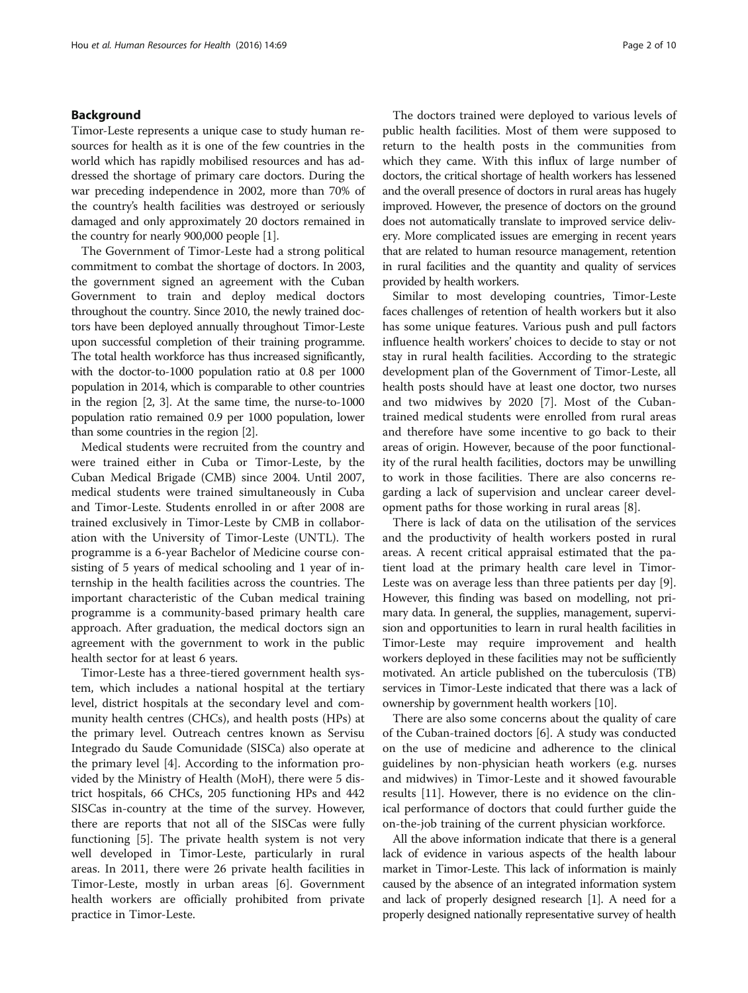# Background

Timor-Leste represents a unique case to study human resources for health as it is one of the few countries in the world which has rapidly mobilised resources and has addressed the shortage of primary care doctors. During the war preceding independence in 2002, more than 70% of the country's health facilities was destroyed or seriously damaged and only approximately 20 doctors remained in the country for nearly 900,000 people [\[1](#page-9-0)].

The Government of Timor-Leste had a strong political commitment to combat the shortage of doctors. In 2003, the government signed an agreement with the Cuban Government to train and deploy medical doctors throughout the country. Since 2010, the newly trained doctors have been deployed annually throughout Timor-Leste upon successful completion of their training programme. The total health workforce has thus increased significantly, with the doctor-to-1000 population ratio at 0.8 per 1000 population in 2014, which is comparable to other countries in the region [\[2](#page-9-0), [3\]](#page-9-0). At the same time, the nurse-to-1000 population ratio remained 0.9 per 1000 population, lower than some countries in the region [[2](#page-9-0)].

Medical students were recruited from the country and were trained either in Cuba or Timor-Leste, by the Cuban Medical Brigade (CMB) since 2004. Until 2007, medical students were trained simultaneously in Cuba and Timor-Leste. Students enrolled in or after 2008 are trained exclusively in Timor-Leste by CMB in collaboration with the University of Timor-Leste (UNTL). The programme is a 6-year Bachelor of Medicine course consisting of 5 years of medical schooling and 1 year of internship in the health facilities across the countries. The important characteristic of the Cuban medical training programme is a community-based primary health care approach. After graduation, the medical doctors sign an agreement with the government to work in the public health sector for at least 6 years.

Timor-Leste has a three-tiered government health system, which includes a national hospital at the tertiary level, district hospitals at the secondary level and community health centres (CHCs), and health posts (HPs) at the primary level. Outreach centres known as Servisu Integrado du Saude Comunidade (SISCa) also operate at the primary level [[4\]](#page-9-0). According to the information provided by the Ministry of Health (MoH), there were 5 district hospitals, 66 CHCs, 205 functioning HPs and 442 SISCas in-country at the time of the survey. However, there are reports that not all of the SISCas were fully functioning [[5\]](#page-9-0). The private health system is not very well developed in Timor-Leste, particularly in rural areas. In 2011, there were 26 private health facilities in Timor-Leste, mostly in urban areas [[6\]](#page-9-0). Government health workers are officially prohibited from private practice in Timor-Leste.

The doctors trained were deployed to various levels of public health facilities. Most of them were supposed to return to the health posts in the communities from which they came. With this influx of large number of doctors, the critical shortage of health workers has lessened and the overall presence of doctors in rural areas has hugely improved. However, the presence of doctors on the ground does not automatically translate to improved service delivery. More complicated issues are emerging in recent years that are related to human resource management, retention in rural facilities and the quantity and quality of services provided by health workers.

Similar to most developing countries, Timor-Leste faces challenges of retention of health workers but it also has some unique features. Various push and pull factors influence health workers' choices to decide to stay or not stay in rural health facilities. According to the strategic development plan of the Government of Timor-Leste, all health posts should have at least one doctor, two nurses and two midwives by 2020 [\[7](#page-9-0)]. Most of the Cubantrained medical students were enrolled from rural areas and therefore have some incentive to go back to their areas of origin. However, because of the poor functionality of the rural health facilities, doctors may be unwilling to work in those facilities. There are also concerns regarding a lack of supervision and unclear career development paths for those working in rural areas [[8\]](#page-9-0).

There is lack of data on the utilisation of the services and the productivity of health workers posted in rural areas. A recent critical appraisal estimated that the patient load at the primary health care level in Timor-Leste was on average less than three patients per day [\[9](#page-9-0)]. However, this finding was based on modelling, not primary data. In general, the supplies, management, supervision and opportunities to learn in rural health facilities in Timor-Leste may require improvement and health workers deployed in these facilities may not be sufficiently motivated. An article published on the tuberculosis (TB) services in Timor-Leste indicated that there was a lack of ownership by government health workers [\[10](#page-9-0)].

There are also some concerns about the quality of care of the Cuban-trained doctors [\[6\]](#page-9-0). A study was conducted on the use of medicine and adherence to the clinical guidelines by non-physician heath workers (e.g. nurses and midwives) in Timor-Leste and it showed favourable results [[11](#page-9-0)]. However, there is no evidence on the clinical performance of doctors that could further guide the on-the-job training of the current physician workforce.

All the above information indicate that there is a general lack of evidence in various aspects of the health labour market in Timor-Leste. This lack of information is mainly caused by the absence of an integrated information system and lack of properly designed research [\[1\]](#page-9-0). A need for a properly designed nationally representative survey of health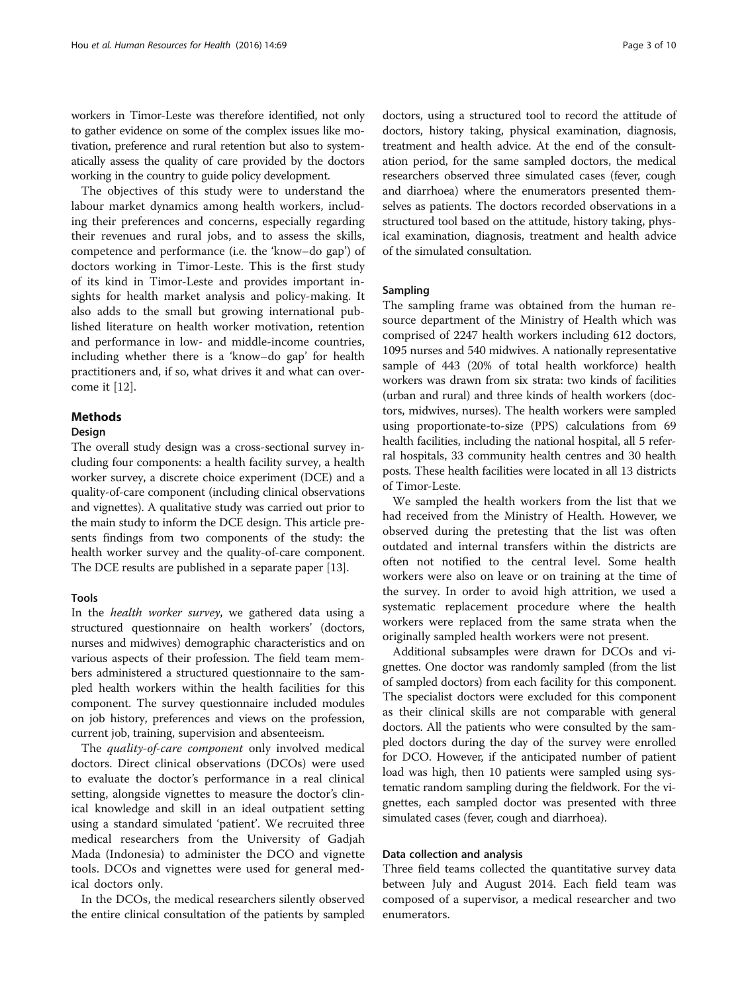workers in Timor-Leste was therefore identified, not only to gather evidence on some of the complex issues like motivation, preference and rural retention but also to systematically assess the quality of care provided by the doctors working in the country to guide policy development.

The objectives of this study were to understand the labour market dynamics among health workers, including their preferences and concerns, especially regarding their revenues and rural jobs, and to assess the skills, competence and performance (i.e. the 'know–do gap') of doctors working in Timor-Leste. This is the first study of its kind in Timor-Leste and provides important insights for health market analysis and policy-making. It also adds to the small but growing international published literature on health worker motivation, retention and performance in low- and middle-income countries, including whether there is a 'know–do gap' for health practitioners and, if so, what drives it and what can overcome it [[12](#page-9-0)].

# Methods

### Design

The overall study design was a cross-sectional survey including four components: a health facility survey, a health worker survey, a discrete choice experiment (DCE) and a quality-of-care component (including clinical observations and vignettes). A qualitative study was carried out prior to the main study to inform the DCE design. This article presents findings from two components of the study: the health worker survey and the quality-of-care component. The DCE results are published in a separate paper [\[13\]](#page-9-0).

### Tools

In the health worker survey, we gathered data using a structured questionnaire on health workers' (doctors, nurses and midwives) demographic characteristics and on various aspects of their profession. The field team members administered a structured questionnaire to the sampled health workers within the health facilities for this component. The survey questionnaire included modules on job history, preferences and views on the profession, current job, training, supervision and absenteeism.

The *quality-of-care component* only involved medical doctors. Direct clinical observations (DCOs) were used to evaluate the doctor's performance in a real clinical setting, alongside vignettes to measure the doctor's clinical knowledge and skill in an ideal outpatient setting using a standard simulated 'patient'. We recruited three medical researchers from the University of Gadjah Mada (Indonesia) to administer the DCO and vignette tools. DCOs and vignettes were used for general medical doctors only.

In the DCOs, the medical researchers silently observed the entire clinical consultation of the patients by sampled doctors, using a structured tool to record the attitude of doctors, history taking, physical examination, diagnosis, treatment and health advice. At the end of the consultation period, for the same sampled doctors, the medical researchers observed three simulated cases (fever, cough and diarrhoea) where the enumerators presented themselves as patients. The doctors recorded observations in a structured tool based on the attitude, history taking, physical examination, diagnosis, treatment and health advice of the simulated consultation.

# Sampling

The sampling frame was obtained from the human resource department of the Ministry of Health which was comprised of 2247 health workers including 612 doctors, 1095 nurses and 540 midwives. A nationally representative sample of 443 (20% of total health workforce) health workers was drawn from six strata: two kinds of facilities (urban and rural) and three kinds of health workers (doctors, midwives, nurses). The health workers were sampled using proportionate-to-size (PPS) calculations from 69 health facilities, including the national hospital, all 5 referral hospitals, 33 community health centres and 30 health posts. These health facilities were located in all 13 districts of Timor-Leste.

We sampled the health workers from the list that we had received from the Ministry of Health. However, we observed during the pretesting that the list was often outdated and internal transfers within the districts are often not notified to the central level. Some health workers were also on leave or on training at the time of the survey. In order to avoid high attrition, we used a systematic replacement procedure where the health workers were replaced from the same strata when the originally sampled health workers were not present.

Additional subsamples were drawn for DCOs and vignettes. One doctor was randomly sampled (from the list of sampled doctors) from each facility for this component. The specialist doctors were excluded for this component as their clinical skills are not comparable with general doctors. All the patients who were consulted by the sampled doctors during the day of the survey were enrolled for DCO. However, if the anticipated number of patient load was high, then 10 patients were sampled using systematic random sampling during the fieldwork. For the vignettes, each sampled doctor was presented with three simulated cases (fever, cough and diarrhoea).

# Data collection and analysis

Three field teams collected the quantitative survey data between July and August 2014. Each field team was composed of a supervisor, a medical researcher and two enumerators.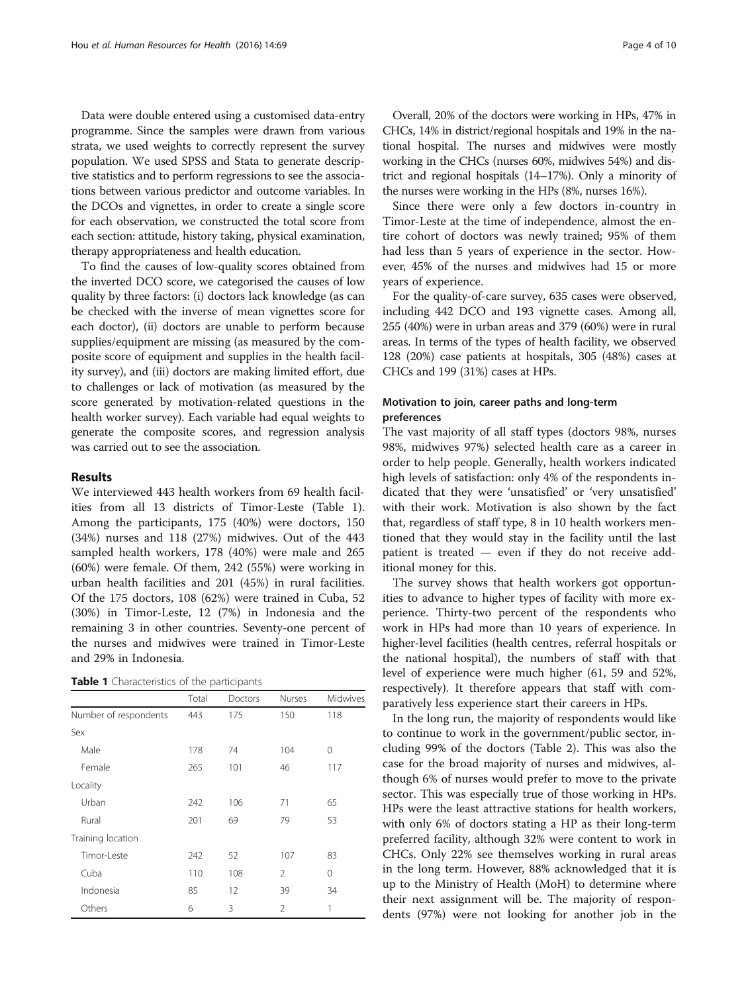Data were double entered using a customised data-entry programme. Since the samples were drawn from various strata, we used weights to correctly represent the survey population. We used SPSS and Stata to generate descriptive statistics and to perform regressions to see the associations between various predictor and outcome variables. In the DCOs and vignettes, in order to create a single score for each observation, we constructed the total score from each section: attitude, history taking, physical examination, therapy appropriateness and health education.

To find the causes of low-quality scores obtained from the inverted DCO score, we categorised the causes of low quality by three factors: (i) doctors lack knowledge (as can be checked with the inverse of mean vignettes score for each doctor), (ii) doctors are unable to perform because supplies/equipment are missing (as measured by the composite score of equipment and supplies in the health facility survey), and (iii) doctors are making limited effort, due to challenges or lack of motivation (as measured by the score generated by motivation-related questions in the health worker survey). Each variable had equal weights to generate the composite scores, and regression analysis was carried out to see the association.

#### Results

We interviewed 443 health workers from 69 health facilities from all 13 districts of Timor-Leste (Table 1). Among the participants, 175 (40%) were doctors, 150 (34%) nurses and 118 (27%) midwives. Out of the 443 sampled health workers, 178 (40%) were male and 265 (60%) were female. Of them, 242 (55%) were working in urban health facilities and 201 (45%) in rural facilities. Of the 175 doctors, 108 (62%) were trained in Cuba, 52 (30%) in Timor-Leste, 12 (7%) in Indonesia and the remaining 3 in other countries. Seventy-one percent of the nurses and midwives were trained in Timor-Leste and 29% in Indonesia.

| Table 1 Characteristics of the participants |  |
|---------------------------------------------|--|
|---------------------------------------------|--|

|                       | Total | Doctors | <b>Nurses</b> | Midwives |
|-----------------------|-------|---------|---------------|----------|
| Number of respondents | 443   | 175     | 150           | 118      |
| Sex                   |       |         |               |          |
| Male                  | 178   | 74      | 104           | 0        |
| Female                | 265   | 101     | 46            | 117      |
| Locality              |       |         |               |          |
| Urban                 | 242   | 106     | 71            | 65       |
| Rural                 | 201   | 69      | 79            | 53       |
| Training location     |       |         |               |          |
| Timor-Leste           | 242   | 52      | 107           | 83       |
| Cuba                  | 110   | 108     | 2             | 0        |
| Indonesia             | 85    | 12      | 39            | 34       |
| Others                | 6     | 3       | 2             | 1        |

Overall, 20% of the doctors were working in HPs, 47% in CHCs, 14% in district/regional hospitals and 19% in the national hospital. The nurses and midwives were mostly working in the CHCs (nurses 60%, midwives 54%) and district and regional hospitals (14–17%). Only a minority of the nurses were working in the HPs (8%, nurses 16%).

Since there were only a few doctors in-country in Timor-Leste at the time of independence, almost the entire cohort of doctors was newly trained; 95% of them had less than 5 years of experience in the sector. However, 45% of the nurses and midwives had 15 or more years of experience.

For the quality-of-care survey, 635 cases were observed, including 442 DCO and 193 vignette cases. Among all, 255 (40%) were in urban areas and 379 (60%) were in rural areas. In terms of the types of health facility, we observed 128 (20%) case patients at hospitals, 305 (48%) cases at CHCs and 199 (31%) cases at HPs.

# Motivation to join, career paths and long-term preferences

The vast majority of all staff types (doctors 98%, nurses 98%, midwives 97%) selected health care as a career in order to help people. Generally, health workers indicated high levels of satisfaction: only 4% of the respondents indicated that they were 'unsatisfied' or 'very unsatisfied' with their work. Motivation is also shown by the fact that, regardless of staff type, 8 in 10 health workers mentioned that they would stay in the facility until the last patient is treated — even if they do not receive additional money for this.

The survey shows that health workers got opportunities to advance to higher types of facility with more experience. Thirty-two percent of the respondents who work in HPs had more than 10 years of experience. In higher-level facilities (health centres, referral hospitals or the national hospital), the numbers of staff with that level of experience were much higher (61, 59 and 52%, respectively). It therefore appears that staff with comparatively less experience start their careers in HPs.

In the long run, the majority of respondents would like to continue to work in the government/public sector, including 99% of the doctors (Table [2](#page-4-0)). This was also the case for the broad majority of nurses and midwives, although 6% of nurses would prefer to move to the private sector. This was especially true of those working in HPs. HPs were the least attractive stations for health workers, with only 6% of doctors stating a HP as their long-term preferred facility, although 32% were content to work in CHCs. Only 22% see themselves working in rural areas in the long term. However, 88% acknowledged that it is up to the Ministry of Health (MoH) to determine where their next assignment will be. The majority of respondents (97%) were not looking for another job in the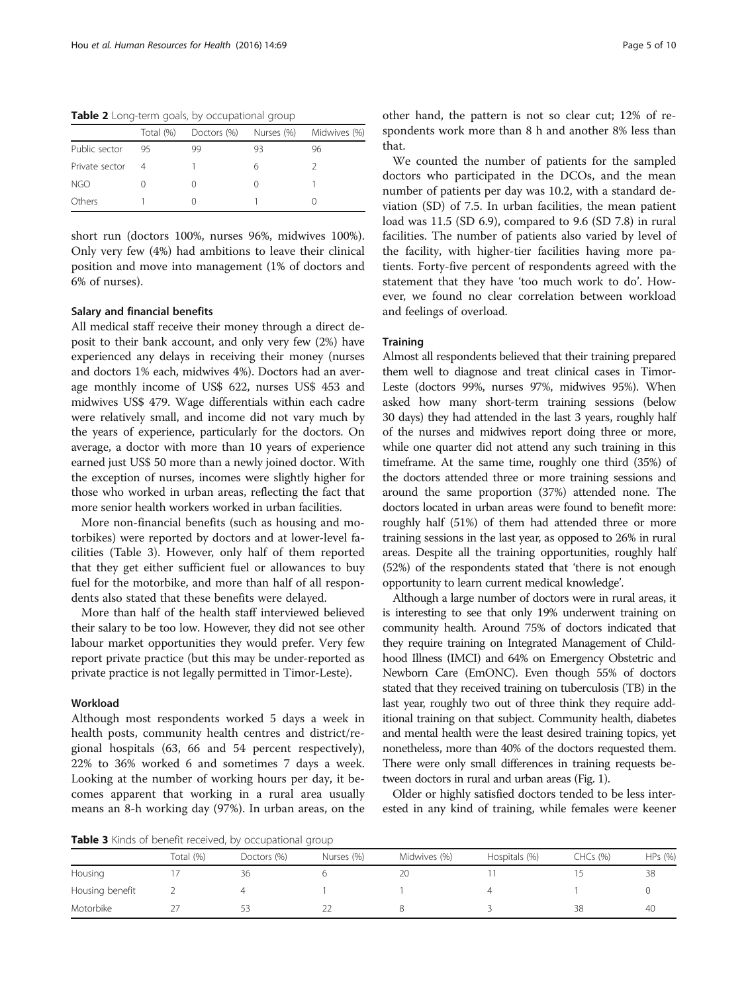<span id="page-4-0"></span>Table 2 Long-term goals, by occupational group

|                | Total (%) |    |    | Doctors (%) Nurses (%) Midwives (%) |
|----------------|-----------|----|----|-------------------------------------|
| Public sector  | 95        | 99 | 93 | 96                                  |
| Private sector | 4         |    | 6  |                                     |
| <b>NGO</b>     |           |    |    |                                     |
| Others         |           |    |    |                                     |

short run (doctors 100%, nurses 96%, midwives 100%). Only very few (4%) had ambitions to leave their clinical position and move into management (1% of doctors and 6% of nurses).

# Salary and financial benefits

All medical staff receive their money through a direct deposit to their bank account, and only very few (2%) have experienced any delays in receiving their money (nurses and doctors 1% each, midwives 4%). Doctors had an average monthly income of US\$ 622, nurses US\$ 453 and midwives US\$ 479. Wage differentials within each cadre were relatively small, and income did not vary much by the years of experience, particularly for the doctors. On average, a doctor with more than 10 years of experience earned just US\$ 50 more than a newly joined doctor. With the exception of nurses, incomes were slightly higher for those who worked in urban areas, reflecting the fact that more senior health workers worked in urban facilities.

More non-financial benefits (such as housing and motorbikes) were reported by doctors and at lower-level facilities (Table 3). However, only half of them reported that they get either sufficient fuel or allowances to buy fuel for the motorbike, and more than half of all respondents also stated that these benefits were delayed.

More than half of the health staff interviewed believed their salary to be too low. However, they did not see other labour market opportunities they would prefer. Very few report private practice (but this may be under-reported as private practice is not legally permitted in Timor-Leste).

### Workload

Although most respondents worked 5 days a week in health posts, community health centres and district/regional hospitals (63, 66 and 54 percent respectively), 22% to 36% worked 6 and sometimes 7 days a week. Looking at the number of working hours per day, it becomes apparent that working in a rural area usually means an 8-h working day (97%). In urban areas, on the other hand, the pattern is not so clear cut; 12% of respondents work more than 8 h and another 8% less than that.

We counted the number of patients for the sampled doctors who participated in the DCOs, and the mean number of patients per day was 10.2, with a standard deviation (SD) of 7.5. In urban facilities, the mean patient load was 11.5 (SD 6.9), compared to 9.6 (SD 7.8) in rural facilities. The number of patients also varied by level of the facility, with higher-tier facilities having more patients. Forty-five percent of respondents agreed with the statement that they have 'too much work to do'. However, we found no clear correlation between workload and feelings of overload.

## **Training**

Almost all respondents believed that their training prepared them well to diagnose and treat clinical cases in Timor-Leste (doctors 99%, nurses 97%, midwives 95%). When asked how many short-term training sessions (below 30 days) they had attended in the last 3 years, roughly half of the nurses and midwives report doing three or more, while one quarter did not attend any such training in this timeframe. At the same time, roughly one third (35%) of the doctors attended three or more training sessions and around the same proportion (37%) attended none. The doctors located in urban areas were found to benefit more: roughly half (51%) of them had attended three or more training sessions in the last year, as opposed to 26% in rural areas. Despite all the training opportunities, roughly half (52%) of the respondents stated that 'there is not enough opportunity to learn current medical knowledge'.

Although a large number of doctors were in rural areas, it is interesting to see that only 19% underwent training on community health. Around 75% of doctors indicated that they require training on Integrated Management of Childhood Illness (IMCI) and 64% on Emergency Obstetric and Newborn Care (EmONC). Even though 55% of doctors stated that they received training on tuberculosis (TB) in the last year, roughly two out of three think they require additional training on that subject. Community health, diabetes and mental health were the least desired training topics, yet nonetheless, more than 40% of the doctors requested them. There were only small differences in training requests between doctors in rural and urban areas (Fig. [1](#page-5-0)).

Older or highly satisfied doctors tended to be less interested in any kind of training, while females were keener

Table 3 Kinds of benefit received, by occupational group

| _________<br>.<br>. |           |             |            |              |               |          |        |
|---------------------|-----------|-------------|------------|--------------|---------------|----------|--------|
|                     | Total (%) | Doctors (%) | Nurses (%) | Midwives (%) | Hospitals (%) | CHCs (%) | HPs(%) |
| Housing             |           | 36          |            |              |               |          | 38     |
| Housing benefit     |           |             |            |              |               |          |        |
| Motorbike           |           |             |            |              |               | 38       | 40     |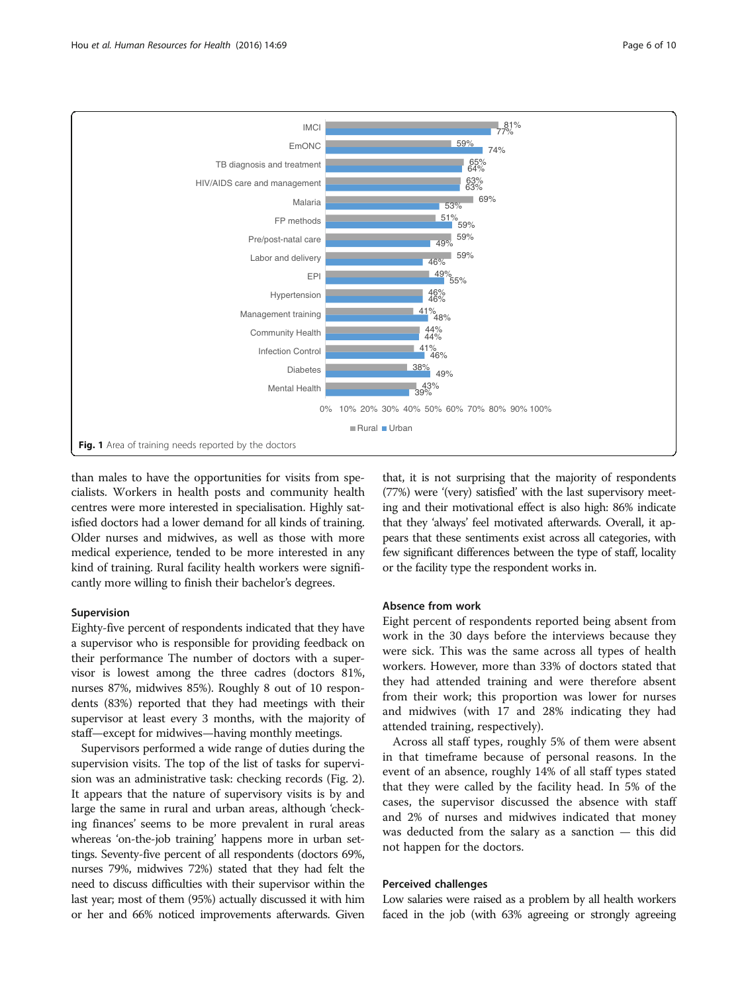<span id="page-5-0"></span>

than males to have the opportunities for visits from specialists. Workers in health posts and community health centres were more interested in specialisation. Highly satisfied doctors had a lower demand for all kinds of training. Older nurses and midwives, as well as those with more medical experience, tended to be more interested in any kind of training. Rural facility health workers were significantly more willing to finish their bachelor's degrees.

# Supervision

Eighty-five percent of respondents indicated that they have a supervisor who is responsible for providing feedback on their performance The number of doctors with a supervisor is lowest among the three cadres (doctors 81%, nurses 87%, midwives 85%). Roughly 8 out of 10 respondents (83%) reported that they had meetings with their supervisor at least every 3 months, with the majority of staff—except for midwives—having monthly meetings.

Supervisors performed a wide range of duties during the supervision visits. The top of the list of tasks for supervision was an administrative task: checking records (Fig. [2](#page-6-0)). It appears that the nature of supervisory visits is by and large the same in rural and urban areas, although 'checking finances' seems to be more prevalent in rural areas whereas 'on-the-job training' happens more in urban settings. Seventy-five percent of all respondents (doctors 69%, nurses 79%, midwives 72%) stated that they had felt the need to discuss difficulties with their supervisor within the last year; most of them (95%) actually discussed it with him or her and 66% noticed improvements afterwards. Given that, it is not surprising that the majority of respondents (77%) were '(very) satisfied' with the last supervisory meeting and their motivational effect is also high: 86% indicate that they 'always' feel motivated afterwards. Overall, it appears that these sentiments exist across all categories, with few significant differences between the type of staff, locality or the facility type the respondent works in.

## Absence from work

Eight percent of respondents reported being absent from work in the 30 days before the interviews because they were sick. This was the same across all types of health workers. However, more than 33% of doctors stated that they had attended training and were therefore absent from their work; this proportion was lower for nurses and midwives (with 17 and 28% indicating they had attended training, respectively).

Across all staff types, roughly 5% of them were absent in that timeframe because of personal reasons. In the event of an absence, roughly 14% of all staff types stated that they were called by the facility head. In 5% of the cases, the supervisor discussed the absence with staff and 2% of nurses and midwives indicated that money was deducted from the salary as a sanction — this did not happen for the doctors.

# Perceived challenges

Low salaries were raised as a problem by all health workers faced in the job (with 63% agreeing or strongly agreeing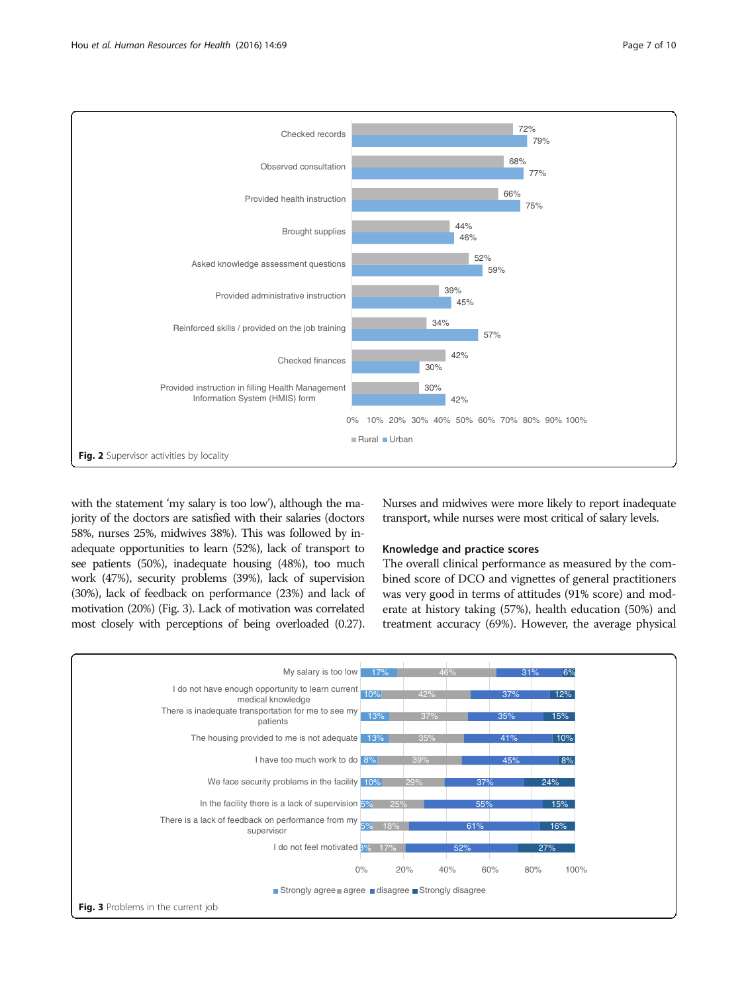<span id="page-6-0"></span>

with the statement 'my salary is too low'), although the majority of the doctors are satisfied with their salaries (doctors 58%, nurses 25%, midwives 38%). This was followed by inadequate opportunities to learn (52%), lack of transport to see patients (50%), inadequate housing (48%), too much work (47%), security problems (39%), lack of supervision (30%), lack of feedback on performance (23%) and lack of motivation (20%) (Fig. 3). Lack of motivation was correlated most closely with perceptions of being overloaded (0.27).

Nurses and midwives were more likely to report inadequate transport, while nurses were most critical of salary levels.

# Knowledge and practice scores

The overall clinical performance as measured by the combined score of DCO and vignettes of general practitioners was very good in terms of attitudes (91% score) and moderate at history taking (57%), health education (50%) and treatment accuracy (69%). However, the average physical

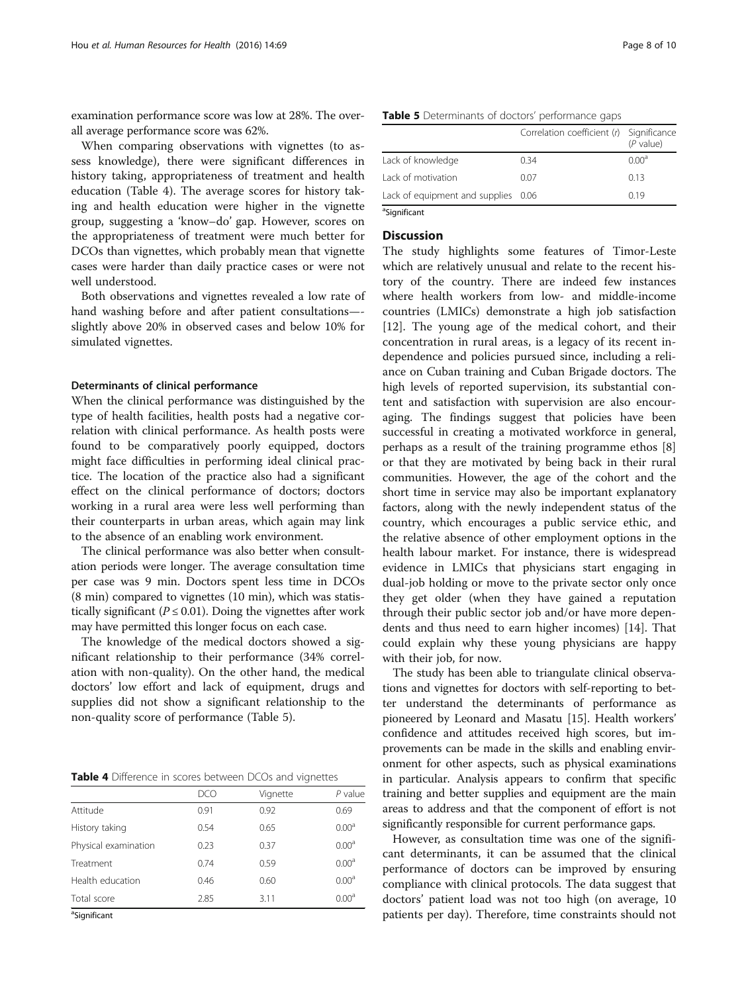examination performance score was low at 28%. The overall average performance score was 62%.

When comparing observations with vignettes (to assess knowledge), there were significant differences in history taking, appropriateness of treatment and health education (Table 4). The average scores for history taking and health education were higher in the vignette group, suggesting a 'know–do' gap. However, scores on the appropriateness of treatment were much better for DCOs than vignettes, which probably mean that vignette cases were harder than daily practice cases or were not well understood.

Both observations and vignettes revealed a low rate of hand washing before and after patient consultations— slightly above 20% in observed cases and below 10% for simulated vignettes.

#### Determinants of clinical performance

When the clinical performance was distinguished by the type of health facilities, health posts had a negative correlation with clinical performance. As health posts were found to be comparatively poorly equipped, doctors might face difficulties in performing ideal clinical practice. The location of the practice also had a significant effect on the clinical performance of doctors; doctors working in a rural area were less well performing than their counterparts in urban areas, which again may link to the absence of an enabling work environment.

The clinical performance was also better when consultation periods were longer. The average consultation time per case was 9 min. Doctors spent less time in DCOs (8 min) compared to vignettes (10 min), which was statistically significant ( $P \le 0.01$ ). Doing the vignettes after work may have permitted this longer focus on each case.

The knowledge of the medical doctors showed a significant relationship to their performance (34% correlation with non-quality). On the other hand, the medical doctors' low effort and lack of equipment, drugs and supplies did not show a significant relationship to the non-quality score of performance (Table 5).

**Table 4** Difference in scores between DCOs and vignettes

|                      |      | Vignette | $P$ value         |
|----------------------|------|----------|-------------------|
| Attitude             | 0.91 | 0.92     | 0.69              |
| History taking       | 0.54 | 0.65     | 0.00 <sup>a</sup> |
| Physical examination | 0.23 | 0.37     | 0.00 <sup>a</sup> |
| Treatment            | 0.74 | 0.59     | 0.00 <sup>a</sup> |
| Health education     | 0.46 | 0.60     | 0.00 <sup>a</sup> |
| Total score          | 2.85 | 3.11     | 0.00 <sup>a</sup> |
| ac::c:               |      |          |                   |

<sup>a</sup>Significant

|  | Table 5 Determinants of doctors' performance gaps |  |  |
|--|---------------------------------------------------|--|--|
|  |                                                   |  |  |

|                                     | Correlation coefficient (r) Significance | $(P$ value)       |
|-------------------------------------|------------------------------------------|-------------------|
| Lack of knowledge                   | 0.34                                     | 0.00 <sup>a</sup> |
| Lack of motivation                  | 0.07                                     | 0.13              |
| Lack of equipment and supplies 0.06 |                                          | 0.19              |
| <sup>a</sup> Significant            |                                          |                   |

**Discussion** 

The study highlights some features of Timor-Leste which are relatively unusual and relate to the recent history of the country. There are indeed few instances where health workers from low- and middle-income countries (LMICs) demonstrate a high job satisfaction [[12\]](#page-9-0). The young age of the medical cohort, and their concentration in rural areas, is a legacy of its recent independence and policies pursued since, including a reliance on Cuban training and Cuban Brigade doctors. The high levels of reported supervision, its substantial content and satisfaction with supervision are also encouraging. The findings suggest that policies have been successful in creating a motivated workforce in general, perhaps as a result of the training programme ethos [\[8](#page-9-0)] or that they are motivated by being back in their rural communities. However, the age of the cohort and the short time in service may also be important explanatory factors, along with the newly independent status of the country, which encourages a public service ethic, and the relative absence of other employment options in the health labour market. For instance, there is widespread evidence in LMICs that physicians start engaging in dual-job holding or move to the private sector only once they get older (when they have gained a reputation through their public sector job and/or have more dependents and thus need to earn higher incomes) [\[14](#page-9-0)]. That could explain why these young physicians are happy with their job, for now.

The study has been able to triangulate clinical observations and vignettes for doctors with self-reporting to better understand the determinants of performance as pioneered by Leonard and Masatu [\[15\]](#page-9-0). Health workers' confidence and attitudes received high scores, but improvements can be made in the skills and enabling environment for other aspects, such as physical examinations in particular. Analysis appears to confirm that specific training and better supplies and equipment are the main areas to address and that the component of effort is not significantly responsible for current performance gaps.

However, as consultation time was one of the significant determinants, it can be assumed that the clinical performance of doctors can be improved by ensuring compliance with clinical protocols. The data suggest that doctors' patient load was not too high (on average, 10 patients per day). Therefore, time constraints should not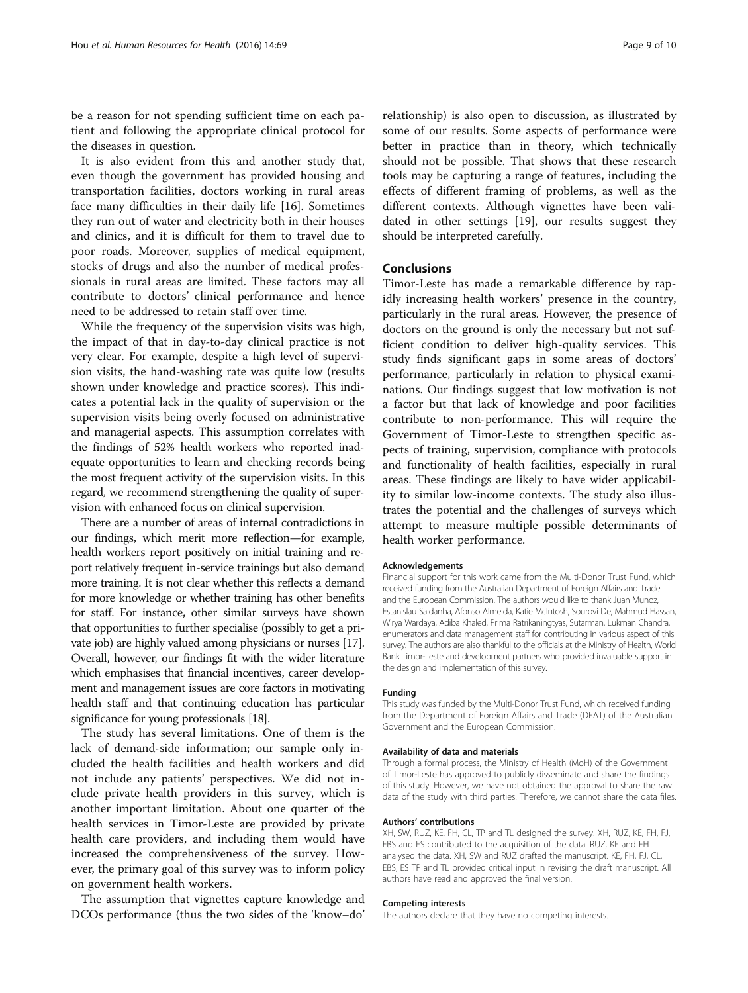be a reason for not spending sufficient time on each patient and following the appropriate clinical protocol for the diseases in question.

It is also evident from this and another study that, even though the government has provided housing and transportation facilities, doctors working in rural areas face many difficulties in their daily life [[16\]](#page-9-0). Sometimes they run out of water and electricity both in their houses and clinics, and it is difficult for them to travel due to poor roads. Moreover, supplies of medical equipment, stocks of drugs and also the number of medical professionals in rural areas are limited. These factors may all contribute to doctors' clinical performance and hence need to be addressed to retain staff over time.

While the frequency of the supervision visits was high, the impact of that in day-to-day clinical practice is not very clear. For example, despite a high level of supervision visits, the hand-washing rate was quite low (results shown under knowledge and practice scores). This indicates a potential lack in the quality of supervision or the supervision visits being overly focused on administrative and managerial aspects. This assumption correlates with the findings of 52% health workers who reported inadequate opportunities to learn and checking records being the most frequent activity of the supervision visits. In this regard, we recommend strengthening the quality of supervision with enhanced focus on clinical supervision.

There are a number of areas of internal contradictions in our findings, which merit more reflection—for example, health workers report positively on initial training and report relatively frequent in-service trainings but also demand more training. It is not clear whether this reflects a demand for more knowledge or whether training has other benefits for staff. For instance, other similar surveys have shown that opportunities to further specialise (possibly to get a private job) are highly valued among physicians or nurses [\[17](#page-9-0)]. Overall, however, our findings fit with the wider literature which emphasises that financial incentives, career development and management issues are core factors in motivating health staff and that continuing education has particular significance for young professionals [[18](#page-9-0)].

The study has several limitations. One of them is the lack of demand-side information; our sample only included the health facilities and health workers and did not include any patients' perspectives. We did not include private health providers in this survey, which is another important limitation. About one quarter of the health services in Timor-Leste are provided by private health care providers, and including them would have increased the comprehensiveness of the survey. However, the primary goal of this survey was to inform policy on government health workers.

The assumption that vignettes capture knowledge and DCOs performance (thus the two sides of the 'know–do'

relationship) is also open to discussion, as illustrated by some of our results. Some aspects of performance were better in practice than in theory, which technically should not be possible. That shows that these research tools may be capturing a range of features, including the effects of different framing of problems, as well as the different contexts. Although vignettes have been validated in other settings [\[19\]](#page-9-0), our results suggest they should be interpreted carefully.

# Conclusions

Timor-Leste has made a remarkable difference by rapidly increasing health workers' presence in the country, particularly in the rural areas. However, the presence of doctors on the ground is only the necessary but not sufficient condition to deliver high-quality services. This study finds significant gaps in some areas of doctors' performance, particularly in relation to physical examinations. Our findings suggest that low motivation is not a factor but that lack of knowledge and poor facilities contribute to non-performance. This will require the Government of Timor-Leste to strengthen specific aspects of training, supervision, compliance with protocols and functionality of health facilities, especially in rural areas. These findings are likely to have wider applicability to similar low-income contexts. The study also illustrates the potential and the challenges of surveys which attempt to measure multiple possible determinants of health worker performance.

#### Acknowledgements

Financial support for this work came from the Multi-Donor Trust Fund, which received funding from the Australian Department of Foreign Affairs and Trade and the European Commission. The authors would like to thank Juan Munoz, Estanislau Saldanha, Afonso Almeida, Katie McIntosh, Sourovi De, Mahmud Hassan, Wirya Wardaya, Adiba Khaled, Prima Ratrikaningtyas, Sutarman, Lukman Chandra, enumerators and data management staff for contributing in various aspect of this survey. The authors are also thankful to the officials at the Ministry of Health, World Bank Timor-Leste and development partners who provided invaluable support in the design and implementation of this survey.

#### Funding

This study was funded by the Multi-Donor Trust Fund, which received funding from the Department of Foreign Affairs and Trade (DFAT) of the Australian Government and the European Commission.

#### Availability of data and materials

Through a formal process, the Ministry of Health (MoH) of the Government of Timor-Leste has approved to publicly disseminate and share the findings of this study. However, we have not obtained the approval to share the raw data of the study with third parties. Therefore, we cannot share the data files.

#### Authors' contributions

XH, SW, RUZ, KE, FH, CL, TP and TL designed the survey. XH, RUZ, KE, FH, FJ, EBS and ES contributed to the acquisition of the data. RUZ, KE and FH analysed the data. XH, SW and RUZ drafted the manuscript. KE, FH, FJ, CL, EBS, ES TP and TL provided critical input in revising the draft manuscript. All authors have read and approved the final version.

#### Competing interests

The authors declare that they have no competing interests.